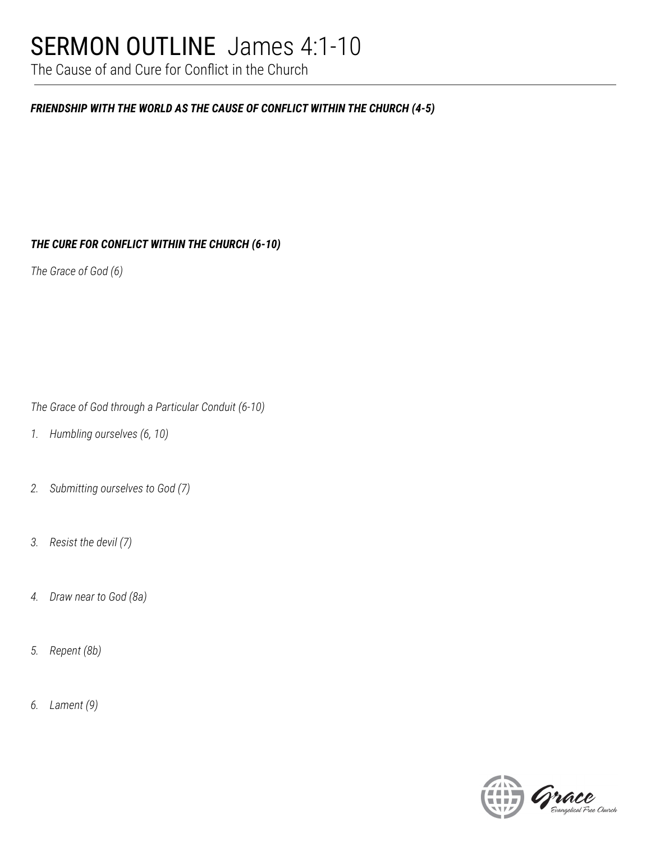## SERMON OUTLINE James 4:1-10

The Cause of and Cure for Conflict in the Church

#### *FRIENDSHIP WITH THE WORLD AS THE CAUSE OF CONFLICT WITHIN THE CHURCH (4-5)*

*THE CURE FOR CONFLICT WITHIN THE CHURCH (6-10)*

*The Grace of God (6)*

*The Grace of God through a Particular Conduit (6-10)*

- *1. Humbling ourselves (6, 10)*
- *2. Submitting ourselves to God (7)*
- *3. Resist the devil (7)*
- *4. Draw near to God (8a)*
- *5. Repent (8b)*
- *6. Lament (9)*